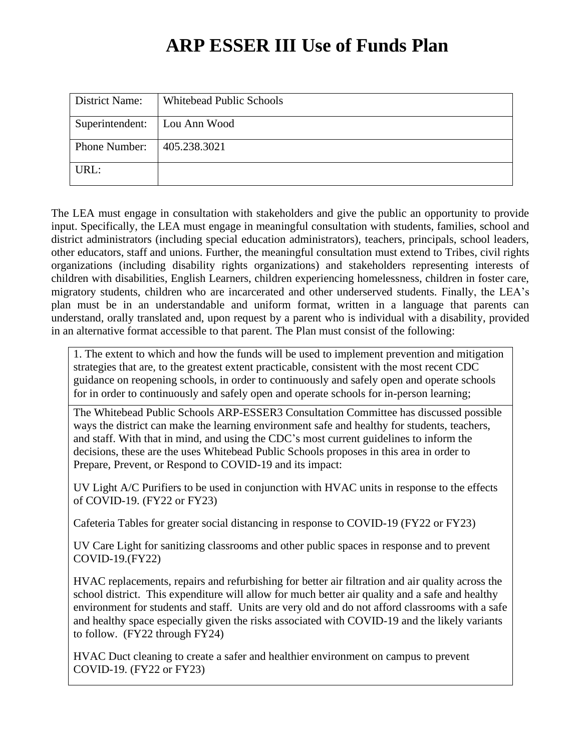| District Name:                 | <b>Whitebead Public Schools</b> |
|--------------------------------|---------------------------------|
| Superintendent:   Lou Ann Wood |                                 |
| <b>Phone Number:</b>           | 405.238.3021                    |
| URL:                           |                                 |

The LEA must engage in consultation with stakeholders and give the public an opportunity to provide input. Specifically, the LEA must engage in meaningful consultation with students, families, school and district administrators (including special education administrators), teachers, principals, school leaders, other educators, staff and unions. Further, the meaningful consultation must extend to Tribes, civil rights organizations (including disability rights organizations) and stakeholders representing interests of children with disabilities, English Learners, children experiencing homelessness, children in foster care, migratory students, children who are incarcerated and other underserved students. Finally, the LEA's plan must be in an understandable and uniform format, written in a language that parents can understand, orally translated and, upon request by a parent who is individual with a disability, provided in an alternative format accessible to that parent. The Plan must consist of the following:

1. The extent to which and how the funds will be used to implement prevention and mitigation strategies that are, to the greatest extent practicable, consistent with the most recent CDC guidance on reopening schools, in order to continuously and safely open and operate schools for in order to continuously and safely open and operate schools for in-person learning;

The Whitebead Public Schools ARP-ESSER3 Consultation Committee has discussed possible ways the district can make the learning environment safe and healthy for students, teachers, and staff. With that in mind, and using the CDC's most current guidelines to inform the decisions, these are the uses Whitebead Public Schools proposes in this area in order to Prepare, Prevent, or Respond to COVID-19 and its impact:

UV Light A/C Purifiers to be used in conjunction with HVAC units in response to the effects of COVID-19. (FY22 or FY23)

Cafeteria Tables for greater social distancing in response to COVID-19 (FY22 or FY23)

UV Care Light for sanitizing classrooms and other public spaces in response and to prevent COVID-19.(FY22)

HVAC replacements, repairs and refurbishing for better air filtration and air quality across the school district. This expenditure will allow for much better air quality and a safe and healthy environment for students and staff. Units are very old and do not afford classrooms with a safe and healthy space especially given the risks associated with COVID-19 and the likely variants to follow. (FY22 through FY24)

HVAC Duct cleaning to create a safer and healthier environment on campus to prevent COVID-19. (FY22 or FY23)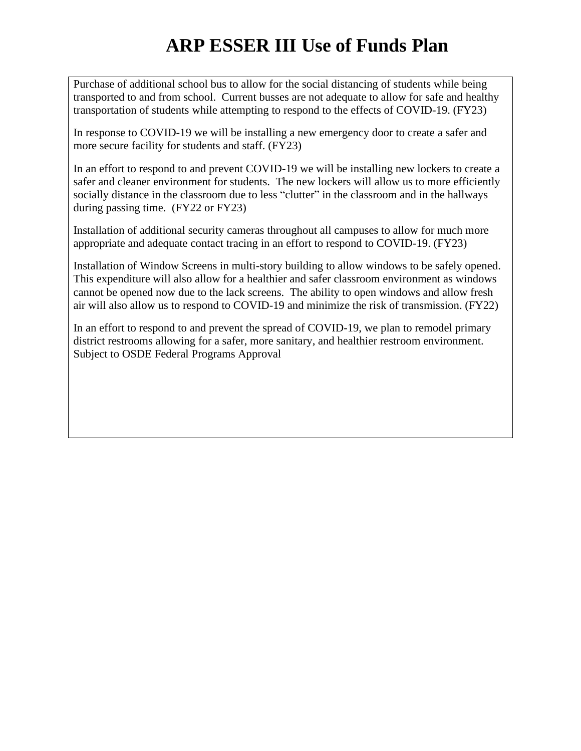Purchase of additional school bus to allow for the social distancing of students while being transported to and from school. Current busses are not adequate to allow for safe and healthy transportation of students while attempting to respond to the effects of COVID-19. (FY23)

In response to COVID-19 we will be installing a new emergency door to create a safer and more secure facility for students and staff. (FY23)

In an effort to respond to and prevent COVID-19 we will be installing new lockers to create a safer and cleaner environment for students. The new lockers will allow us to more efficiently socially distance in the classroom due to less "clutter" in the classroom and in the hallways during passing time. (FY22 or FY23)

Installation of additional security cameras throughout all campuses to allow for much more appropriate and adequate contact tracing in an effort to respond to COVID-19. (FY23)

Installation of Window Screens in multi-story building to allow windows to be safely opened. This expenditure will also allow for a healthier and safer classroom environment as windows cannot be opened now due to the lack screens. The ability to open windows and allow fresh air will also allow us to respond to COVID-19 and minimize the risk of transmission. (FY22)

In an effort to respond to and prevent the spread of COVID-19, we plan to remodel primary district restrooms allowing for a safer, more sanitary, and healthier restroom environment. Subject to OSDE Federal Programs Approval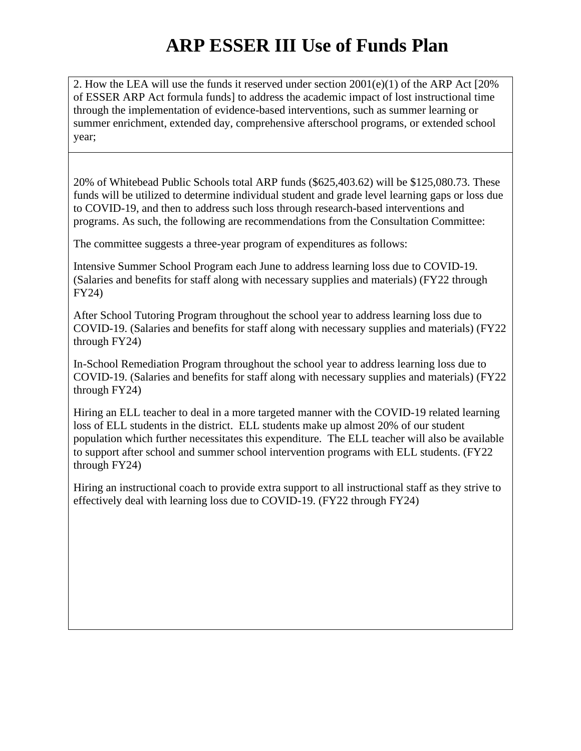2. How the LEA will use the funds it reserved under section 2001(e)(1) of the ARP Act [20% of ESSER ARP Act formula funds] to address the academic impact of lost instructional time through the implementation of evidence-based interventions, such as summer learning or summer enrichment, extended day, comprehensive afterschool programs, or extended school year;

20% of Whitebead Public Schools total ARP funds (\$625,403.62) will be \$125,080.73. These funds will be utilized to determine individual student and grade level learning gaps or loss due to COVID-19, and then to address such loss through research-based interventions and programs. As such, the following are recommendations from the Consultation Committee:

The committee suggests a three-year program of expenditures as follows:

Intensive Summer School Program each June to address learning loss due to COVID-19. (Salaries and benefits for staff along with necessary supplies and materials) (FY22 through FY24)

After School Tutoring Program throughout the school year to address learning loss due to COVID-19. (Salaries and benefits for staff along with necessary supplies and materials) (FY22 through FY24)

In-School Remediation Program throughout the school year to address learning loss due to COVID-19. (Salaries and benefits for staff along with necessary supplies and materials) (FY22 through FY24)

Hiring an ELL teacher to deal in a more targeted manner with the COVID-19 related learning loss of ELL students in the district. ELL students make up almost 20% of our student population which further necessitates this expenditure. The ELL teacher will also be available to support after school and summer school intervention programs with ELL students. (FY22 through FY24)

Hiring an instructional coach to provide extra support to all instructional staff as they strive to effectively deal with learning loss due to COVID-19. (FY22 through FY24)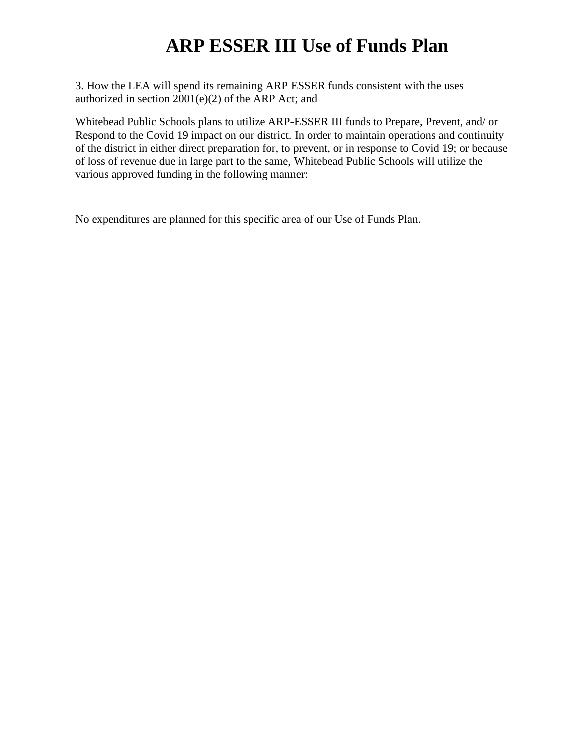3. How the LEA will spend its remaining ARP ESSER funds consistent with the uses authorized in section 2001(e)(2) of the ARP Act; and

Whitebead Public Schools plans to utilize ARP-ESSER III funds to Prepare, Prevent, and/ or Respond to the Covid 19 impact on our district. In order to maintain operations and continuity of the district in either direct preparation for, to prevent, or in response to Covid 19; or because of loss of revenue due in large part to the same, Whitebead Public Schools will utilize the various approved funding in the following manner:

No expenditures are planned for this specific area of our Use of Funds Plan.